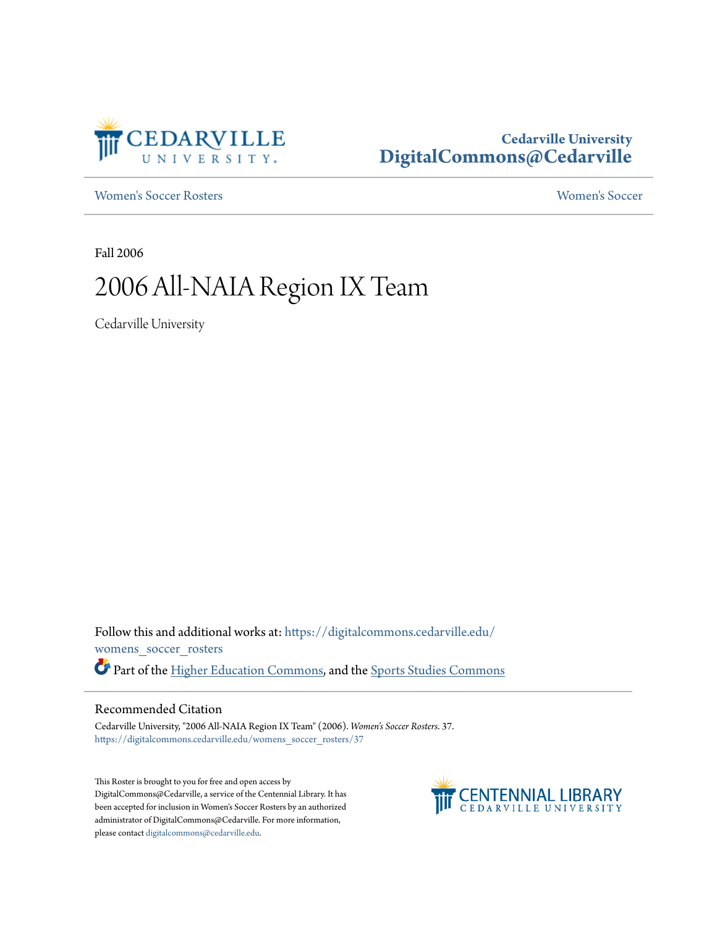

## **Cedarville University [DigitalCommons@Cedarville](https://digitalcommons.cedarville.edu?utm_source=digitalcommons.cedarville.edu%2Fwomens_soccer_rosters%2F37&utm_medium=PDF&utm_campaign=PDFCoverPages)**

[Women's Soccer Rosters](https://digitalcommons.cedarville.edu/womens_soccer_rosters?utm_source=digitalcommons.cedarville.edu%2Fwomens_soccer_rosters%2F37&utm_medium=PDF&utm_campaign=PDFCoverPages) [Women's Soccer](https://digitalcommons.cedarville.edu/womens_soccer?utm_source=digitalcommons.cedarville.edu%2Fwomens_soccer_rosters%2F37&utm_medium=PDF&utm_campaign=PDFCoverPages)

Fall 2006

# 2006 All-NAIA Region IX Team

Cedarville University

Follow this and additional works at: [https://digitalcommons.cedarville.edu/](https://digitalcommons.cedarville.edu/womens_soccer_rosters?utm_source=digitalcommons.cedarville.edu%2Fwomens_soccer_rosters%2F37&utm_medium=PDF&utm_campaign=PDFCoverPages) [womens\\_soccer\\_rosters](https://digitalcommons.cedarville.edu/womens_soccer_rosters?utm_source=digitalcommons.cedarville.edu%2Fwomens_soccer_rosters%2F37&utm_medium=PDF&utm_campaign=PDFCoverPages) Part of the [Higher Education Commons](http://network.bepress.com/hgg/discipline/1245?utm_source=digitalcommons.cedarville.edu%2Fwomens_soccer_rosters%2F37&utm_medium=PDF&utm_campaign=PDFCoverPages), and the [Sports Studies Commons](http://network.bepress.com/hgg/discipline/1198?utm_source=digitalcommons.cedarville.edu%2Fwomens_soccer_rosters%2F37&utm_medium=PDF&utm_campaign=PDFCoverPages)

#### Recommended Citation

Cedarville University, "2006 All-NAIA Region IX Team" (2006). *Women's Soccer Rosters*. 37. [https://digitalcommons.cedarville.edu/womens\\_soccer\\_rosters/37](https://digitalcommons.cedarville.edu/womens_soccer_rosters/37?utm_source=digitalcommons.cedarville.edu%2Fwomens_soccer_rosters%2F37&utm_medium=PDF&utm_campaign=PDFCoverPages)

This Roster is brought to you for free and open access by DigitalCommons@Cedarville, a service of the Centennial Library. It has been accepted for inclusion in Women's Soccer Rosters by an authorized administrator of DigitalCommons@Cedarville. For more information, please contact [digitalcommons@cedarville.edu.](mailto:digitalcommons@cedarville.edu)

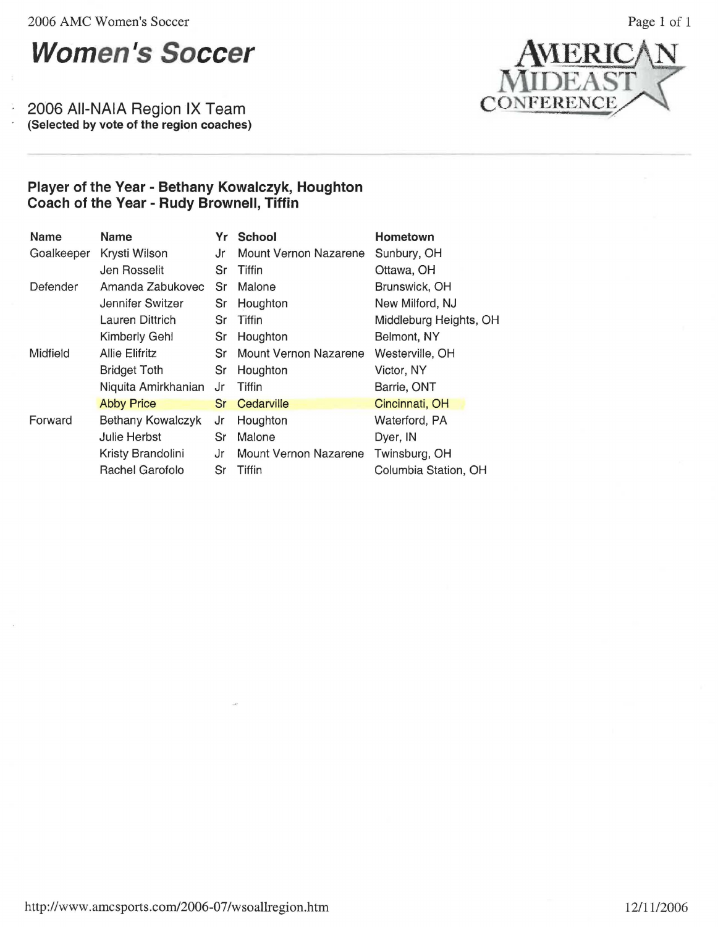2006 AMC Women's Soccer

ì.

2006 AII-NAIA Region IX Team (Selected by vote of the region coaches)



## **Player of the Year** - **Bethany Kowalczyk, Houghton Coach of the Year** - **Rudy Brownell, Tiffin**

| Name       | Name                  | Yr        | <b>School</b>                | Hometown               |
|------------|-----------------------|-----------|------------------------------|------------------------|
| Goalkeeper | Krysti Wilson         | Jr        | <b>Mount Vernon Nazarene</b> | Sunbury, OH            |
|            | Jen Rosselit          | Sr        | Tiffin                       | Ottawa, OH             |
| Defender   | Amanda Zabukovec      | Sr        | Malone                       | Brunswick, OH          |
|            | Jennifer Switzer      | Sr        | Houghton                     | New Milford, NJ        |
|            | Lauren Dittrich       | Sr        | Tiffin                       | Middleburg Heights, OH |
|            | <b>Kimberly Gehl</b>  | Sr        | Houghton                     | Belmont, NY            |
| Midfield   | <b>Allie Elifritz</b> | Sr        | <b>Mount Vernon Nazarene</b> | Westerville, OH        |
|            | <b>Bridget Toth</b>   | Sr        | Houghton                     | Victor, NY             |
|            | Niquita Amirkhanian   | Jr        | Tiffin                       | Barrie, ONT            |
|            | <b>Abby Price</b>     | <b>Sr</b> | Cedarville                   | Cincinnati, OH         |
| Forward    | Bethany Kowalczyk     | Jr        | Houghton                     | Waterford, PA          |
|            | Julie Herbst          | Sr        | Malone                       | Dyer, IN               |
|            | Kristy Brandolini     | Jr        | <b>Mount Vernon Nazarene</b> | Twinsburg, OH          |
|            | Rachel Garofolo       | Sr        | Tiffin                       | Columbia Station, OH   |